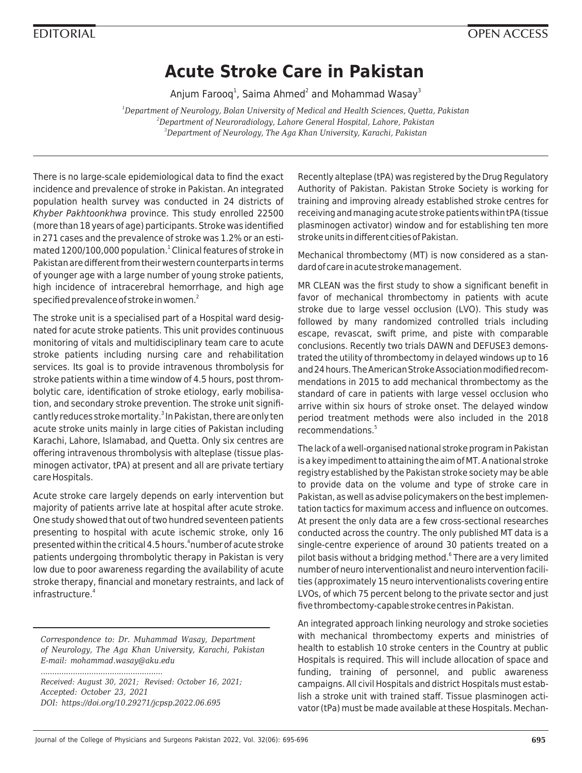## **Acute Stroke Care in Pakistan**

Anjum Farooq $^1$ , Saima Ahmed $^2$  and Mohammad Wasay $^{\text{\tiny 3}}$ 

*<sup>1</sup>Department of Neurology, Bolan University of Medical and Health Sciences, Quetta, Pakistan <sup>2</sup>Department of Neuroradiology, Lahore General Hospital, Lahore, Pakistan <sup>3</sup>Department of Neurology, The Aga Khan University, Karachi, Pakistan*

There is no large-scale epidemiological data to find the exact incidence and prevalence of stroke in Pakistan. An integrated population health survey was conducted in 24 districts of Khyber Pakhtoonkhwa province. This study enrolled 22500 (more than 18 years of age) participants. Stroke was identified in 271 cases and the prevalence of stroke was 1.2% or an estimated 1200/100,000 population.<sup>1</sup> Clinical features of stroke in Pakistan are different from their western counterparts in terms of younger age with a large number of young stroke patients, high incidence of intracerebral hemorrhage, and high age specified prevalence of stroke in women.<sup>2</sup>

The stroke unit is a specialised part of a Hospital ward designated for acute stroke patients. This unit provides continuous monitoring of vitals and multidisciplinary team care to acute stroke patients including nursing care and rehabilitation services. Its goal is to provide intravenous thrombolysis for stroke patients within a time window of 4.5 hours, post thrombolytic care, identification of stroke etiology, early mobilisation, and secondary stroke prevention. The stroke unit significantly reduces stroke mortality.<sup>3</sup> In Pakistan, there are only ten acute stroke units mainly in large cities of Pakistan including Karachi, Lahore, Islamabad, and Quetta. Only six centres are offering intravenous thrombolysis with alteplase (tissue plasminogen activator, tPA) at present and all are private tertiary care Hospitals.

Acute stroke care largely depends on early intervention but majority of patients arrive late at hospital after acute stroke. One study showed that out of two hundred seventeen patients presenting to hospital with acute ischemic stroke, only 16 presented within the critical 4.5 hours.<sup>4</sup>number of acute stroke patients undergoing thrombolytic therapy in Pakistan is very low due to poor awareness regarding the availability of acute stroke therapy, financial and monetary restraints, and lack of infrastructure<sup>4</sup>

*Correspondence to: Dr. Muhammad Wasay, Department of Neurology, The Aga Khan University, Karachi, Pakistan E-mail: mohammad.wasay@aku.edu*

*Received: August 30, 2021; Revised: October 16, 2021; Accepted: October 23, 2021 DOI: https://doi.org/10.29271/jcpsp.2022.06.695*

*.....................................................*

Recently alteplase (tPA) was registered by the Drug Regulatory Authority of Pakistan. Pakistan Stroke Society is working for training and improving already established stroke centres for receiving and managing acute stroke patients within tPA (tissue plasminogen activator) window and for establishing ten more stroke units in different cities of Pakistan.

Mechanical thrombectomy (MT) is now considered as a standard of care in acute stroke management.

MR CLEAN was the first study to show a significant benefit in favor of mechanical thrombectomy in patients with acute stroke due to large vessel occlusion (LVO). This study was followed by many randomized controlled trials including escape, revascat, swift prime, and piste with comparable conclusions. Recently two trials DAWN and DEFUSE3 demonstrated the utility of thrombectomy in delayed windows up to 16 and 24 hours. The American Stroke Association modified recommendations in 2015 to add mechanical thrombectomy as the standard of care in patients with large vessel occlusion who arrive within six hours of stroke onset. The delayed window period treatment methods were also included in the 2018 recommendations<sup>5</sup>

The lack of a well-organised national stroke program in Pakistan is a key impediment to attaining the aim of MT. A national stroke registry established by the Pakistan stroke society may be able to provide data on the volume and type of stroke care in Pakistan, as well as advise policymakers on the best implementation tactics for maximum access and influence on outcomes. At present the only data are a few cross-sectional researches conducted across the country. The only published MT data is a single-centre experience of around 30 patients treated on a pilot basis without a bridging method.<sup>6</sup> There are a very limited number of neuro interventionalist and neuro intervention facilities (approximately 15 neuro interventionalists covering entire LVOs, of which 75 percent belong to the private sector and just five thrombectomy-capable stroke centres in Pakistan.

An integrated approach linking neurology and stroke societies with mechanical thrombectomy experts and ministries of health to establish 10 stroke centers in the Country at public Hospitals is required. This will include allocation of space and funding, training of personnel, and public awareness campaigns. All civil Hospitals and district Hospitals must establish a stroke unit with trained staff. Tissue plasminogen activator (tPa) must be made available at these Hospitals. Mechan